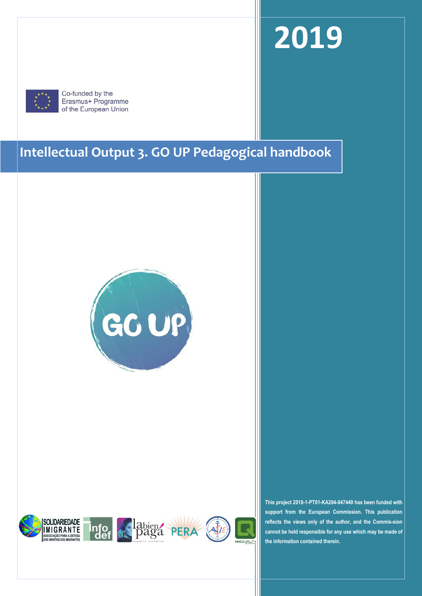# **2019**



Co-funded by the Erasmus+ Programme of the European Union

# **Intellectual Output 3. GO UP Pedagogical handbook**









**This project 2018-1-PT01-KA204-047449 has been funded with support from the European Commission. This publication reflects the views only of the author, and the Commis-sion cannot be held responsible for any use which may be made of the information contained therein.**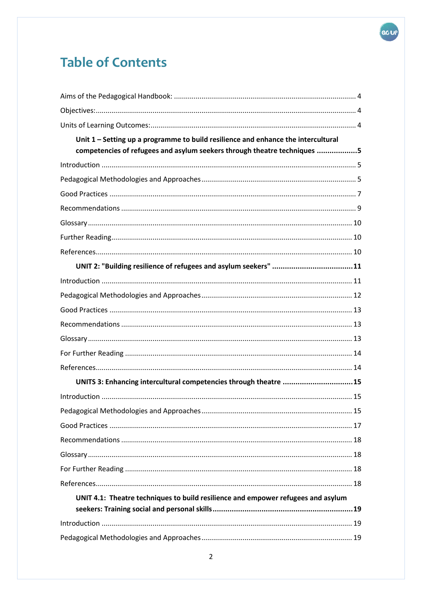# **Table of Contents**

| Unit 1 - Setting up a programme to build resilience and enhance the intercultural<br>competencies of refugees and asylum seekers through theatre techniques 5 |  |
|---------------------------------------------------------------------------------------------------------------------------------------------------------------|--|
|                                                                                                                                                               |  |
|                                                                                                                                                               |  |
|                                                                                                                                                               |  |
|                                                                                                                                                               |  |
|                                                                                                                                                               |  |
|                                                                                                                                                               |  |
|                                                                                                                                                               |  |
|                                                                                                                                                               |  |
|                                                                                                                                                               |  |
|                                                                                                                                                               |  |
|                                                                                                                                                               |  |
|                                                                                                                                                               |  |
|                                                                                                                                                               |  |
|                                                                                                                                                               |  |
|                                                                                                                                                               |  |
| UNITS 3: Enhancing intercultural competencies through theatre 15                                                                                              |  |
|                                                                                                                                                               |  |
|                                                                                                                                                               |  |
|                                                                                                                                                               |  |
|                                                                                                                                                               |  |
|                                                                                                                                                               |  |
|                                                                                                                                                               |  |
|                                                                                                                                                               |  |
| UNIT 4.1: Theatre techniques to build resilience and empower refugees and asylum                                                                              |  |
|                                                                                                                                                               |  |
|                                                                                                                                                               |  |

GCUP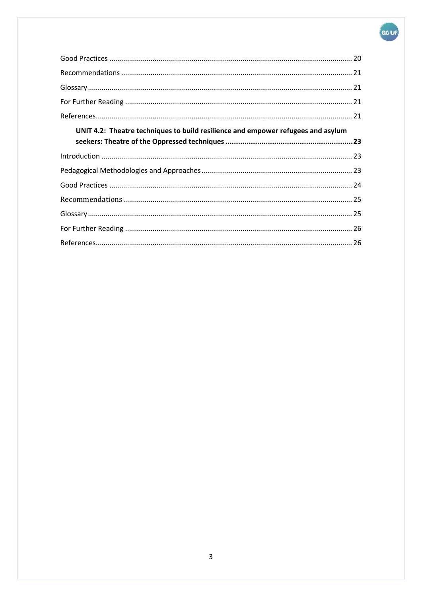# GO UP

| UNIT 4.2: Theatre techniques to build resilience and empower refugees and asylum |  |
|----------------------------------------------------------------------------------|--|
|                                                                                  |  |
|                                                                                  |  |
|                                                                                  |  |
|                                                                                  |  |
|                                                                                  |  |
|                                                                                  |  |
|                                                                                  |  |
|                                                                                  |  |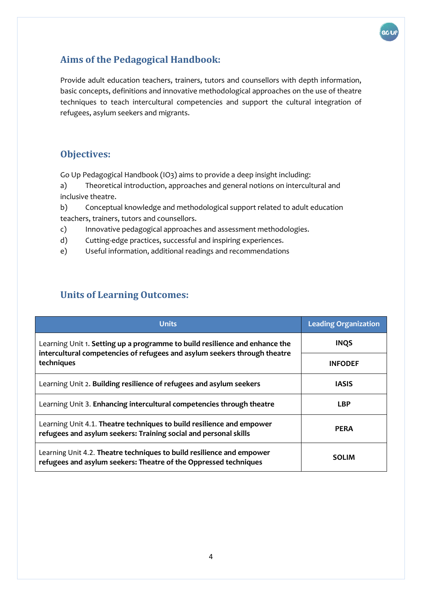

# <span id="page-3-0"></span>**Aims of the Pedagogical Handbook:**

Provide adult education teachers, trainers, tutors and counsellors with depth information, basic concepts, definitions and innovative methodological approaches on the use of theatre techniques to teach intercultural competencies and support the cultural integration of refugees, asylum seekers and migrants.

## <span id="page-3-1"></span>**Objectives:**

Go Up Pedagogical Handbook (IO3) aims to provide a deep insight including:

a) Theoretical introduction, approaches and general notions on intercultural and inclusive theatre.

b) Conceptual knowledge and methodological support related to adult education teachers, trainers, tutors and counsellors.

- c) Innovative pedagogical approaches and assessment methodologies.
- d) Cutting-edge practices, successful and inspiring experiences.
- e) Useful information, additional readings and recommendations

# <span id="page-3-2"></span>**Units of Learning Outcomes:**

| <b>Units</b>                                                                                                                                                           | <b>Leading Organization</b> |
|------------------------------------------------------------------------------------------------------------------------------------------------------------------------|-----------------------------|
| Learning Unit 1. Setting up a programme to build resilience and enhance the<br>intercultural competencies of refugees and asylum seekers through theatre<br>techniques | <b>INQS</b>                 |
|                                                                                                                                                                        | <b>INFODEF</b>              |
| Learning Unit 2. Building resilience of refugees and asylum seekers                                                                                                    | <b>IASIS</b>                |
| Learning Unit 3. Enhancing intercultural competencies through theatre                                                                                                  | <b>LBP</b>                  |
| Learning Unit 4.1. Theatre techniques to build resilience and empower<br>refugees and asylum seekers: Training social and personal skills                              | <b>PERA</b>                 |
| Learning Unit 4.2. Theatre techniques to build resilience and empower<br>refugees and asylum seekers: Theatre of the Oppressed techniques                              | <b>SOLIM</b>                |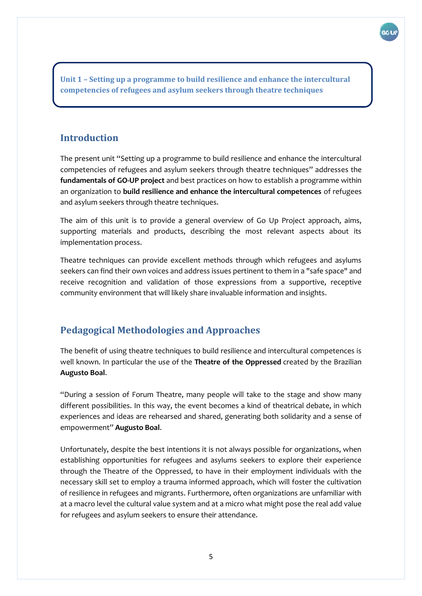<span id="page-4-0"></span>**Unit 1 – Setting up a programme to build resilience and enhance the intercultural competencies of refugees and asylum seekers through theatre techniques**

# <span id="page-4-1"></span>**Introduction**

The present unit "Setting up a programme to build resilience and enhance the intercultural competencies of refugees and asylum seekers through theatre techniques" addresses the **fundamentals of GO-UP project** and best practices on how to establish a programme within an organization to **build resilience and enhance the intercultural competences** of refugees and asylum seekers through theatre techniques.

The aim of this unit is to provide a general overview of Go Up Project approach, aims, supporting materials and products, describing the most relevant aspects about its implementation process.

Theatre techniques can provide excellent methods through which refugees and asylums seekers can find their own voices and address issues pertinent to them in a "safe space" and receive recognition and validation of those expressions from a supportive, receptive community environment that will likely share invaluable information and insights.

# <span id="page-4-2"></span>**Pedagogical Methodologies and Approaches**

The benefit of using theatre techniques to build resilience and intercultural competences is well known. In particular the use of the **Theatre of the Oppressed** created by the Brazilian **Augusto Boal**.

"During a session of Forum Theatre, many people will take to the stage and show many different possibilities. In this way, the event becomes a kind of theatrical debate, in which experiences and ideas are rehearsed and shared, generating both solidarity and a sense of empowerment" **Augusto Boal**.

Unfortunately, despite the best intentions it is not always possible for organizations, when establishing opportunities for refugees and asylums seekers to explore their experience through the Theatre of the Oppressed, to have in their employment individuals with the necessary skill set to employ a trauma informed approach, which will foster the cultivation of resilience in refugees and migrants. Furthermore, often organizations are unfamiliar with at a macro level the cultural value system and at a micro what might pose the real add value for refugees and asylum seekers to ensure their attendance.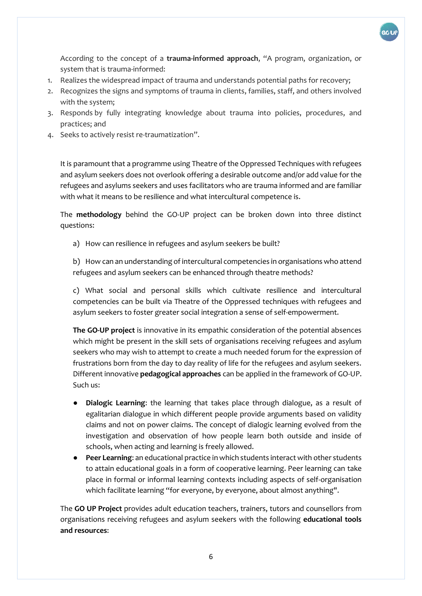

According to the concept of a **trauma-informed approach**, "A program, organization, or system that is trauma-informed:

- 1. Realizes the widespread impact of trauma and understands potential paths for recovery;
- 2. Recognizes the signs and symptoms of trauma in clients, families, staff, and others involved with the system;
- 3. Responds by fully integrating knowledge about trauma into policies, procedures, and practices; and
- 4. Seeks to actively resist re-traumatization".

It is paramount that a programme using Theatre of the Oppressed Techniques with refugees and asylum seekers does not overlook offering a desirable outcome and/or add value for the refugees and asylums seekers and uses facilitators who are trauma informed and are familiar with what it means to be resilience and what intercultural competence is.

The **methodology** behind the GO-UP project can be broken down into three distinct questions:

a) How can resilience in refugees and asylum seekers be built?

b) How can an understanding of intercultural competencies in organisations who attend refugees and asylum seekers can be enhanced through theatre methods?

c) What social and personal skills which cultivate resilience and intercultural competencies can be built via Theatre of the Oppressed techniques with refugees and asylum seekers to foster greater social integration a sense of self-empowerment.

**The GO-UP project** is innovative in its empathic consideration of the potential absences which might be present in the skill sets of organisations receiving refugees and asylum seekers who may wish to attempt to create a much needed forum for the expression of frustrations born from the day to day reality of life for the refugees and asylum seekers. Different innovative **pedagogical approaches** can be applied in the framework of GO-UP. Such us:

- **Dialogic Learning:** the learning that takes place through dialogue, as a result of egalitarian dialogue in which different people provide arguments based on validity claims and not on power claims. The concept of dialogic learning evolved from the investigation and observation of how people learn both outside and inside of schools, when acting and learning is freely allowed.
- **Peer Learning**: an educational practice in which students interact with other students to attain educational goals in a form of cooperative learning. Peer learning can take place in formal or informal learning contexts including aspects of self-organisation which facilitate learning "for everyone, by everyone, about almost anything".

The **GO UP Project** provides adult education teachers, trainers, tutors and counsellors from organisations receiving refugees and asylum seekers with the following **educational tools and resources**: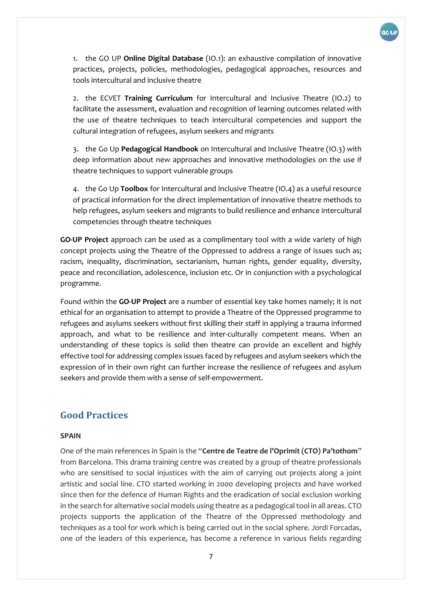

1. the GO UP **Online Digital Database** (IO.1): an exhaustive compilation of innovative practices, projects, policies, methodologies, pedagogical approaches, resources and tools intercultural and inclusive theatre

2. the ECVET **Training Curriculum** for Intercultural and Inclusive Theatre (IO.2) to facilitate the assessment, evaluation and recognition of learning outcomes related with the use of theatre techniques to teach intercultural competencies and support the cultural integration of refugees, asylum seekers and migrants

3. the Go Up **Pedagogical Handbook** on Intercultural and Inclusive Theatre (IO.3) with deep information about new approaches and innovative methodologies on the use if theatre techniques to support vulnerable groups

4. the Go Up **Toolbox** for Intercultural and Inclusive Theatre (IO.4) as a useful resource of practical information for the direct implementation of innovative theatre methods to help refugees, asylum seekers and migrants to build resilience and enhance intercultural competencies through theatre techniques

**GO-UP Project** approach can be used as a complimentary tool with a wide variety of high concept projects using the Theatre of the Oppressed to address a range of issues such as; racism, inequality, discrimination, sectarianism, human rights, gender equality, diversity, peace and reconciliation, adolescence, inclusion etc. Or in conjunction with a psychological programme.

Found within the **GO-UP Project** are a number of essential key take homes namely; it is not ethical for an organisation to attempt to provide a Theatre of the Oppressed programme to refugees and asylums seekers without first skilling their staff in applying a trauma informed approach, and what to be resilience and inter-culturally competent means. When an understanding of these topics is solid then theatre can provide an excellent and highly effective tool for addressing complex issues faced by refugees and asylum seekers which the expression of in their own right can further increase the resilience of refugees and asylum seekers and provide them with a sense of self-empowerment.

### <span id="page-6-0"></span>**Good Practices**

#### **SPAIN**

One of the main references in Spain is the "**Centre de Teatre de l'Oprimit (CTO) Pa'tothom**" from Barcelona. This drama training centre was created by a group of theatre professionals who are sensitised to social injustices with the aim of carrying out projects along a joint artistic and social line. CTO started working in 2000 developing projects and have worked since then for the defence of Human Rights and the eradication of social exclusion working in the search for alternative social models using theatre as a pedagogical tool in all areas. CTO projects supports the application of the Theatre of the Oppressed methodology and techniques as a tool for work which is being carried out in the social sphere. Jordi Forcadas, one of the leaders of this experience, has become a reference in various fields regarding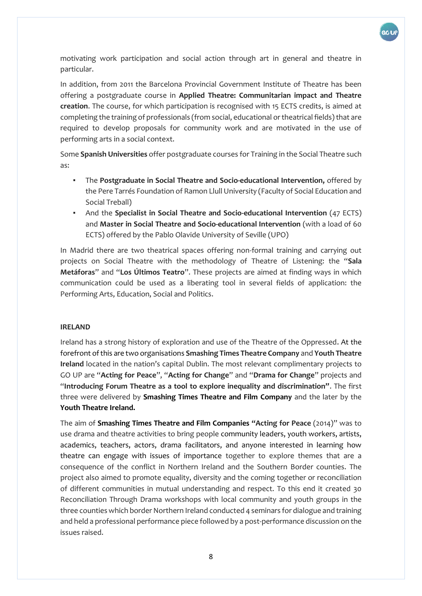

motivating work participation and social action through art in general and theatre in particular.

In addition, from 2011 the Barcelona Provincial Government Institute of Theatre has been offering a postgraduate course in **Applied Theatre: Communitarian impact and Theatre creation**. The course, for which participation is recognised with 15 ECTS credits, is aimed at completing the training of professionals (from social, educational or theatrical fields) that are required to develop proposals for community work and are motivated in the use of performing arts in a social context.

Some **Spanish Universities** offer postgraduate courses for Training in the Social Theatre such as:

- The **Postgraduate in Social Theatre and Socio-educational Intervention,** offered by the Pere Tarrés Foundation of Ramon Llull University (Faculty of Social Education and Social Treball)
- And the **Specialist in Social Theatre and Socio-educational Intervention** (47 ECTS) and **Master in Social Theatre and Socio-educational Intervention** (with a load of 60 ECTS) offered by the Pablo Olavide University of Seville (UPO)

In Madrid there are two theatrical spaces offering non-formal training and carrying out projects on Social Theatre with the methodology of Theatre of Listening: the "**Sala Metáforas**" and "**Los Últimos Teatro**". These projects are aimed at finding ways in which communication could be used as a liberating tool in several fields of application: the Performing Arts, Education, Social and Politics.

#### **IRELAND**

Ireland has a strong history of exploration and use of the Theatre of the Oppressed. At the forefront of this are two organisations **Smashing Times Theatre Company** and **Youth Theatre Ireland** located in the nation's capital Dublin. The most relevant complimentary projects to GO UP are "**Acting for Peace**", "**Acting for Change**" and "**Drama for Change**" projects and "**Introducing Forum Theatre as a tool to explore inequality and discrimination"**. The first three were delivered by **Smashing Times Theatre and Film Company** and the later by the **Youth Theatre Ireland.** 

The aim of **Smashing Times Theatre and Film Companies "Acting for Peace** (2014)" was to use drama and theatre activities to bring people community leaders, youth workers, artists, academics, teachers, actors, drama facilitators, and anyone interested in learning how theatre can engage with issues of importance together to explore themes that are a consequence of the conflict in Northern Ireland and the Southern Border counties. The project also aimed to promote equality, diversity and the coming together or reconciliation of different communities in mutual understanding and respect. To this end it created 30 Reconciliation Through Drama workshops with local community and youth groups in the three counties which border Northern Ireland conducted 4 seminars for dialogue and training and held a professional performance piece followed by a post-performance discussion on the issues raised.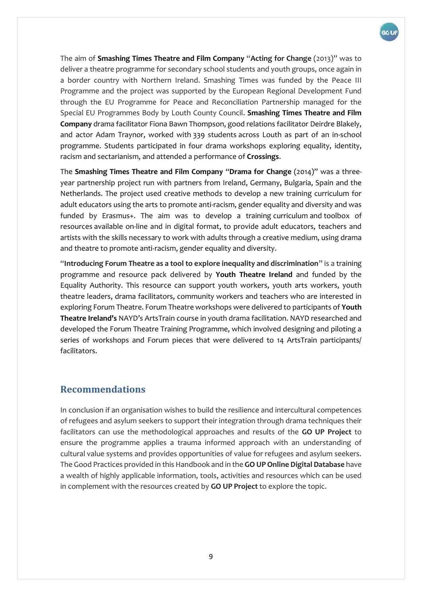

The aim of **Smashing Times Theatre and Film Company** "**Acting for Change** (2013)" was to deliver a theatre programme for secondary school students and youth groups, once again in a border country with Northern Ireland. Smashing Times was funded by the Peace III Programme and the project was supported by the European Regional Development Fund through the EU Programme for Peace and Reconciliation Partnership managed for the Special EU Programmes Body by Louth County Council. **Smashing Times Theatre and Film Company** drama facilitator Fiona Bawn Thompson, good relations facilitator Deirdre Blakely, and actor Adam Traynor, worked with 339 students across Louth as part of an in-school programme. Students participated in four drama workshops exploring equality, identity, racism and sectarianism, and attended a performance of **Crossings**.

The **Smashing Times Theatre and Film Company** "**Drama for Change** (2014)" was a threeyear partnership project run with partners from Ireland, Germany, Bulgaria, Spain and the Netherlands. The project used creative methods to develop a new training curriculum for adult educators using the arts to promote anti-racism, gender equality and diversity and was funded by Erasmus+. The aim was to develop a training curriculum and toolbox of resources available on-line and in digital format, to provide adult educators, teachers and artists with the skills necessary to work with adults through a creative medium, using drama and theatre to promote anti-racism, gender equality and diversity.

"**Introducing Forum Theatre as a tool to explore inequality and discrimination**" is a training programme and resource pack delivered by **Youth Theatre Ireland** and funded by the Equality Authority. This resource can support youth workers, youth arts workers, youth theatre leaders, drama facilitators, community workers and teachers who are interested in exploring Forum Theatre. Forum Theatre workshops were delivered to participants of **Youth Theatre Ireland's** NAYD's ArtsTrain course in youth drama facilitation. NAYD researched and developed the Forum Theatre Training Programme, which involved designing and piloting a series of workshops and Forum pieces that were delivered to 14 ArtsTrain participants/ facilitators.

#### <span id="page-8-0"></span>**Recommendations**

In conclusion if an organisation wishes to build the resilience and intercultural competences of refugees and asylum seekers to support their integration through drama techniques their facilitators can use the methodological approaches and results of the **GO UP Project** to ensure the programme applies a trauma informed approach with an understanding of cultural value systems and provides opportunities of value for refugees and asylum seekers. The Good Practices provided in this Handbook and in the **GO UP Online Digital Database** have a wealth of highly applicable information, tools, activities and resources which can be used in complement with the resources created by **GO UP Project** to explore the topic.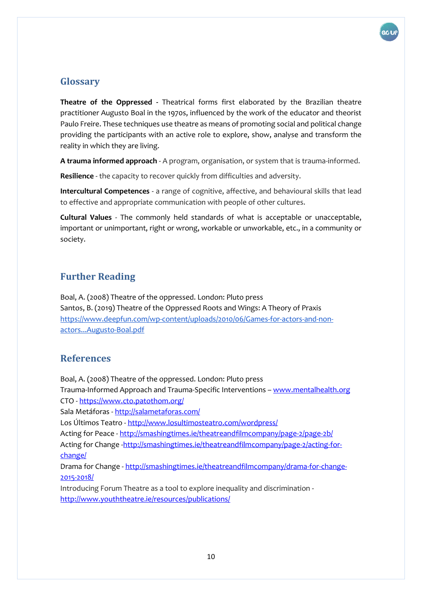

#### <span id="page-9-0"></span>**Glossary**

**Theatre of the Oppressed -** Theatrical forms first elaborated by the Brazilian theatre practitioner Augusto Boal in the 1970s, influenced by the work of the educator and theorist Paulo Freire. These techniques use theatre as means of promoting social and political change providing the participants with an active role to explore, show, analyse and transform the reality in which they are living.

**A trauma informed approach** - A program, organisation, or system that is trauma-informed.

**Resilience** - the capacity to recover quickly from difficulties and adversity.

**Intercultural Competences** - a range of cognitive, affective, and behavioural skills that lead to effective and appropriate communication with people of other cultures.

**Cultural Values** - The commonly held standards of what is acceptable or unacceptable, important or unimportant, right or wrong, workable or unworkable, etc., in a community or society.

## <span id="page-9-1"></span>**Further Reading**

Boal, A. (2008) Theatre of the oppressed. London: Pluto press Santos, B. (2019) Theatre of the Oppressed Roots and Wings: A Theory of Praxis [https://www.deepfun.com/wp-content/uploads/2010/06/Games-for-actors-and-non](https://www.deepfun.com/wp-content/uploads/2010/06/Games-for-actors-and-non-actors...Augusto-Boal.pdf)[actors...Augusto-Boal.pdf](https://www.deepfun.com/wp-content/uploads/2010/06/Games-for-actors-and-non-actors...Augusto-Boal.pdf)

#### <span id="page-9-2"></span>**References**

Boal, A. (2008) Theatre of the oppressed. London: Pluto press Trauma-Informed Approach and Trauma-Specific Interventions – [www.mentalhealth.org](http://www.mentalhealth.org/) CTO - <https://www.cto.patothom.org/> Sala Metáforas - <http://salametaforas.com/> Los Últimos Teatro - <http://www.losultimosteatro.com/wordpress/> Acting for Peace - <http://smashingtimes.ie/theatreandfilmcompany/page-2/page-2b/> Acting for Change [-http://smashingtimes.ie/theatreandfilmcompany/page-2/acting-for](http://smashingtimes.ie/theatreandfilmcompany/page-2/acting-for-change/)[change/](http://smashingtimes.ie/theatreandfilmcompany/page-2/acting-for-change/) Drama for Change - [http://smashingtimes.ie/theatreandfilmcompany/drama-for-change-](http://smashingtimes.ie/theatreandfilmcompany/drama-for-change-2015-2018/)[2015-2018/](http://smashingtimes.ie/theatreandfilmcompany/drama-for-change-2015-2018/) Introducing Forum Theatre as a tool to explore inequality and discrimination <http://www.youththeatre.ie/resources/publications/>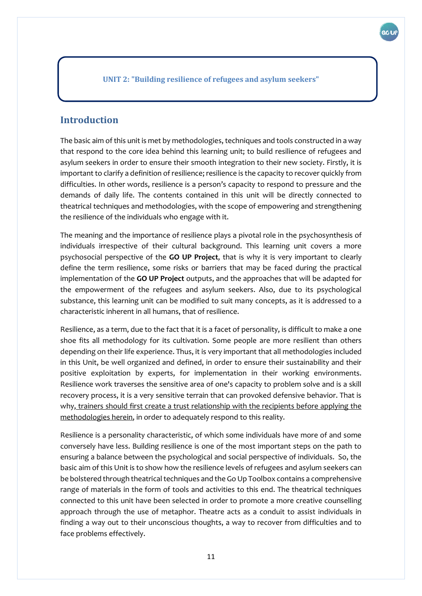<span id="page-10-0"></span>**UNIT 2: "Building resilience of refugees and asylum seekers"**

#### <span id="page-10-1"></span>**Introduction**

The basic aim of this unit is met by methodologies, techniques and tools constructed in a way that respond to the core idea behind this learning unit; to build resilience of refugees and asylum seekers in order to ensure their smooth integration to their new society. Firstly, it is important to clarify a definition of resilience; resilience is the capacity to recover quickly from difficulties. In other words, resilience is a person's capacity to respond to pressure and the demands of daily life. The contents contained in this unit will be directly connected to theatrical techniques and methodologies, with the scope of empowering and strengthening the resilience of the individuals who engage with it.

The meaning and the importance of resilience plays a pivotal role in the psychosynthesis of individuals irrespective of their cultural background. This learning unit covers a more psychosocial perspective of the **GO UP Project**, that is why it is very important to clearly define the term resilience, some risks or barriers that may be faced during the practical implementation of the **GO UP Project** outputs, and the approaches that will be adapted for the empowerment of the refugees and asylum seekers. Also, due to its psychological substance, this learning unit can be modified to suit many concepts, as it is addressed to a characteristic inherent in all humans, that of resilience.

Resilience, as a term, due to the fact that it is a facet of personality, is difficult to make a one shoe fits all methodology for its cultivation. Some people are more resilient than others depending on their life experience. Thus, it is very important that all methodologies included in this Unit, be well organized and defined, in order to ensure their sustainability and their positive exploitation by experts, for implementation in their working environments. Resilience work traverses the sensitive area of one's capacity to problem solve and is a skill recovery process, it is a very sensitive terrain that can provoked defensive behavior. That is why, trainers should first create a trust relationship with the recipients before applying the methodologies herein, in order to adequately respond to this reality.

Resilience is a personality characteristic, of which some individuals have more of and some conversely have less. Building resilience is one of the most important steps on the path to ensuring a balance between the psychological and social perspective of individuals. So, the basic aim of this Unit is to show how the resilience levels of refugees and asylum seekers can be bolstered through theatrical techniques and the Go Up Toolbox contains a comprehensive range of materials in the form of tools and activities to this end. The theatrical techniques connected to this unit have been selected in order to promote a more creative counselling approach through the use of metaphor. Theatre acts as a conduit to assist individuals in finding a way out to their unconscious thoughts, a way to recover from difficulties and to face problems effectively.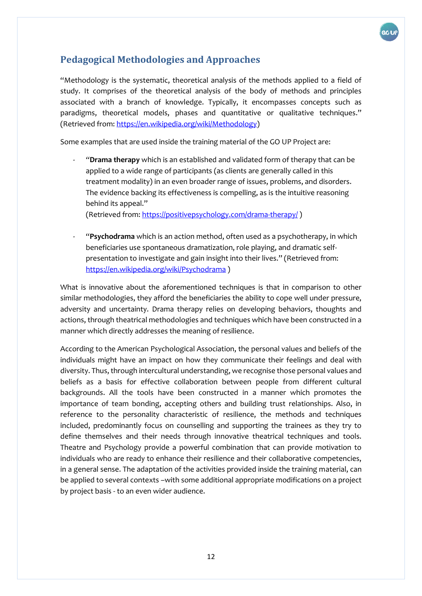

## <span id="page-11-0"></span>**Pedagogical Methodologies and Approaches**

"Methodology is the systematic, theoretical analysis of the methods applied to a field of study. It comprises of the theoretical analysis of the body of methods and principles associated with a branch of knowledge. Typically, it encompasses concepts such as paradigms, theoretical models, phases and quantitative or qualitative techniques." (Retrieved from[: https://en.wikipedia.org/wiki/Methodology\)](https://en.wikipedia.org/wiki/Methodology)

Some examples that are used inside the training material of the GO UP Project are:

- *"***Drama therapy** which is an established and validated form of therapy that can be applied to a wide range of participants (as clients are generally called in this treatment modality) in an even broader range of issues, problems, and disorders. The evidence backing its effectiveness is compelling, as is the intuitive reasoning behind its appeal."

(Retrieved from[: https://positivepsychology.com/drama-therapy/](https://positivepsychology.com/drama-therapy/) )

- "**Psychodrama** which is an action method, often used as a psychotherapy, in which beneficiaries use spontaneous dramatization, role playing, and dramatic selfpresentation to investigate and gain insight into their lives." (Retrieved from: <https://en.wikipedia.org/wiki/Psychodrama> )

What is innovative about the aforementioned techniques is that in comparison to other similar methodologies, they afford the beneficiaries the ability to cope well under pressure, adversity and uncertainty. Drama therapy relies on developing behaviors, thoughts and actions, through theatrical methodologies and techniques which have been constructed in a manner which directly addresses the meaning of resilience.

According to the American Psychological Association, the personal values and beliefs of the individuals might have an impact on how they communicate their feelings and deal with diversity. Thus, through intercultural understanding, we recognise those personal values and beliefs as a basis for effective collaboration between people from different cultural backgrounds. All the tools have been constructed in a manner which promotes the importance of team bonding, accepting others and building trust relationships. Also, in reference to the personality characteristic of resilience, the methods and techniques included, predominantly focus on counselling and supporting the trainees as they try to define themselves and their needs through innovative theatrical techniques and tools. Theatre and Psychology provide a powerful combination that can provide motivation to individuals who are ready to enhance their resilience and their collaborative competencies, in a general sense. The adaptation of the activities provided inside the training material, can be applied to several contexts –with some additional appropriate modifications on a project by project basis - to an even wider audience.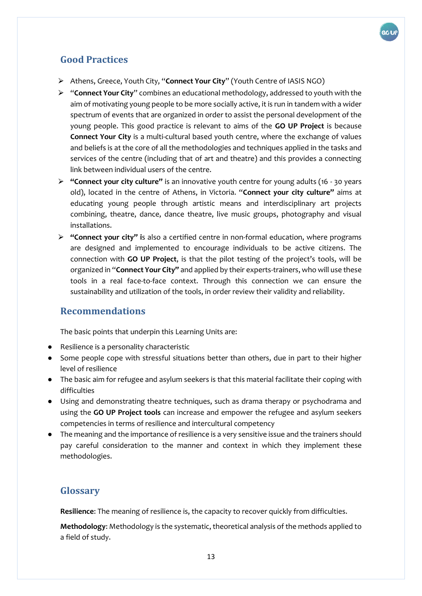

# <span id="page-12-0"></span>**Good Practices**

- ⮚ Athens, Greece, Youth City, "**Connect Your City**" (Youth Centre of IASIS NGO)
- ⮚ "**Connect Your City**" combines an educational methodology, addressed to youth with the aim of motivating young people to be more socially active, it is run in tandem with a wider spectrum of events that are organized in order to assist the personal development of the young people. This good practice is relevant to aims of the **GO UP Project** is because **Connect Your City** is a multi-cultural based youth centre, where the exchange of values and beliefs is at the core of all the methodologies and techniques applied in the tasks and services of the centre (including that of art and theatre) and this provides a connecting link between individual users of the centre.
- ⮚ **"Connect your city culture"** is an innovative youth centre for young adults (16 30 years old), located in the centre of Athens, in Victoria. "**Connect your city culture"** aims at educating young people through artistic means and interdisciplinary art projects combining, theatre, dance, dance theatre, live music groups, photography and visual installations.
- ⮚ **"Connect your city" i**s also a certified centre in non-formal education, where programs are designed and implemented to encourage individuals to be active citizens. The connection with **GO UP Project**, is that the pilot testing of the project's tools, will be organized in "**Connect Your City"** and applied by their experts-trainers, who will use these tools in a real face-to-face context. Through this connection we can ensure the sustainability and utilization of the tools, in order review their validity and reliability.

#### <span id="page-12-1"></span>**Recommendations**

The basic points that underpin this Learning Units are:

- Resilience is a personality characteristic
- Some people cope with stressful situations better than others, due in part to their higher level of resilience
- The basic aim for refugee and asylum seekers is that this material facilitate their coping with difficulties
- Using and demonstrating theatre techniques, such as drama therapy or psychodrama and using the **GO UP Project tools** can increase and empower the refugee and asylum seekers competencies in terms of resilience and intercultural competency
- The meaning and the importance of resilience is a very sensitive issue and the trainers should pay careful consideration to the manner and context in which they implement these methodologies.

#### <span id="page-12-2"></span>**Glossary**

**Resilience**: The meaning of resilience is, the capacity to recover quickly from difficulties.

**Methodology**: Methodology is the systematic, theoretical analysis of the methods applied to a field of study.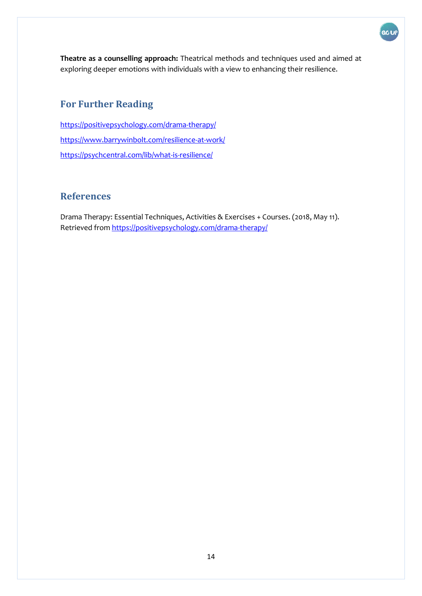

GC U

# <span id="page-13-0"></span>**For Further Reading**

<https://positivepsychology.com/drama-therapy/> <https://www.barrywinbolt.com/resilience-at-work/> <https://psychcentral.com/lib/what-is-resilience/>

### <span id="page-13-1"></span>**References**

Drama Therapy: Essential Techniques, Activities & Exercises + Courses. (2018, May 11). Retrieved from<https://positivepsychology.com/drama-therapy/>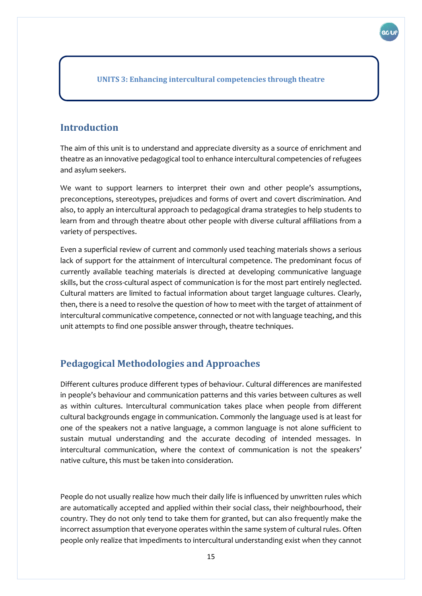<span id="page-14-0"></span>**UNITS 3: Enhancing intercultural competencies through theatre**

#### <span id="page-14-1"></span>**Introduction**

The aim of this unit is to understand and appreciate diversity as a source of enrichment and theatre as an innovative pedagogical tool to enhance intercultural competencies of refugees and asylum seekers.

We want to support learners to interpret their own and other people's assumptions, preconceptions, stereotypes, prejudices and forms of overt and covert discrimination. And also, to apply an intercultural approach to pedagogical drama strategies to help students to learn from and through theatre about other people with diverse cultural affiliations from a variety of perspectives.

Even a superficial review of current and commonly used teaching materials shows a serious lack of support for the attainment of intercultural competence. The predominant focus of currently available teaching materials is directed at developing communicative language skills, but the cross-cultural aspect of communication is for the most part entirely neglected. Cultural matters are limited to factual information about target language cultures. Clearly, then, there is a need to resolve the question of how to meet with the target of attainment of intercultural communicative competence, connected or not with language teaching, and this unit attempts to find one possible answer through, theatre techniques.

### <span id="page-14-2"></span>**Pedagogical Methodologies and Approaches**

Different cultures produce different types of behaviour. Cultural differences are manifested in people's behaviour and communication patterns and this varies between cultures as well as within cultures. Intercultural communication takes place when people from different cultural backgrounds engage in communication. Commonly the language used is at least for one of the speakers not a native language, a common language is not alone sufficient to sustain mutual understanding and the accurate decoding of intended messages. In intercultural communication, where the context of communication is not the speakers' native culture, this must be taken into consideration.

People do not usually realize how much their daily life is influenced by unwritten rules which are automatically accepted and applied within their social class, their neighbourhood, their country. They do not only tend to take them for granted, but can also frequently make the incorrect assumption that everyone operates within the same system of cultural rules. Often people only realize that impediments to intercultural understanding exist when they cannot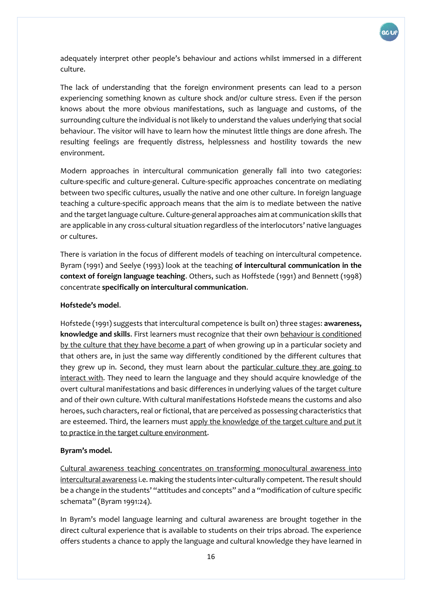

adequately interpret other people's behaviour and actions whilst immersed in a different culture.

The lack of understanding that the foreign environment presents can lead to a person experiencing something known as culture shock and/or culture stress. Even if the person knows about the more obvious manifestations, such as language and customs, of the surrounding culture the individual is not likely to understand the values underlying that social behaviour. The visitor will have to learn how the minutest little things are done afresh. The resulting feelings are frequently distress, helplessness and hostility towards the new environment.

Modern approaches in intercultural communication generally fall into two categories: culture-specific and culture-general. Culture-specific approaches concentrate on mediating between two specific cultures, usually the native and one other culture. In foreign language teaching a culture-specific approach means that the aim is to mediate between the native and the target language culture. Culture-general approaches aim at communication skills that are applicable in any cross-cultural situation regardless of the interlocutors' native languages or cultures.

There is variation in the focus of different models of teaching on intercultural competence. Byram (1991) and Seelye (1993) look at the teaching **of intercultural communication in the context of foreign language teaching**. Others, such as Hoffstede (1991) and Bennett (1998) concentrate **specifically on intercultural communication**.

#### **Hofstede's model**.

Hofstede (1991) suggests that intercultural competence is built on) three stages: **awareness, knowledge and skills**. First learners must recognize that their own behaviour is conditioned by the culture that they have become a part of when growing up in a particular society and that others are, in just the same way differently conditioned by the different cultures that they grew up in. Second, they must learn about the particular culture they are going to interact with. They need to learn the language and they should acquire knowledge of the overt cultural manifestations and basic differences in underlying values of the target culture and of their own culture. With cultural manifestations Hofstede means the customs and also heroes, such characters, real or fictional, that are perceived as possessing characteristics that are esteemed. Third, the learners must apply the knowledge of the target culture and put it to practice in the target culture environment.

#### **Byram's model.**

Cultural awareness teaching concentrates on transforming monocultural awareness into intercultural awareness i.e. making the students inter-culturally competent. The result should be a change in the students' "attitudes and concepts" and a "modification of culture specific schemata" (Byram 1991:24).

In Byram's model language learning and cultural awareness are brought together in the direct cultural experience that is available to students on their trips abroad. The experience offers students a chance to apply the language and cultural knowledge they have learned in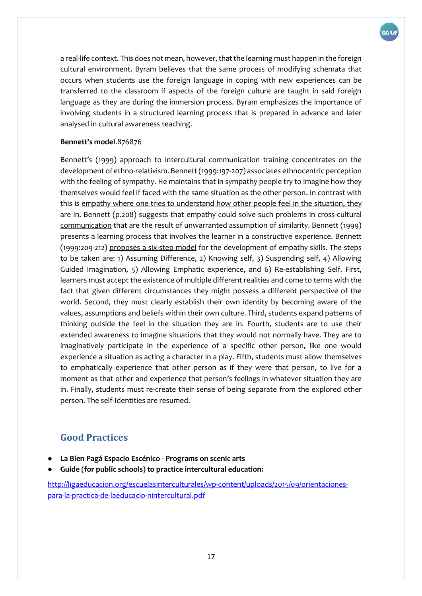

a real-life context. This does not mean, however, that the learning must happen in the foreign cultural environment. Byram believes that the same process of modifying schemata that occurs when students use the foreign language in coping with new experiences can be transferred to the classroom if aspects of the foreign culture are taught in said foreign language as they are during the immersion process. Byram emphasizes the importance of involving students in a structured learning process that is prepared in advance and later analysed in cultural awareness teaching.

#### **Bennett's model**.876876

Bennett's (1999) approach to intercultural communication training concentrates on the development of ethno-relativism. Bennett (1999:197-207) associates ethnocentric perception with the feeling of sympathy. He maintains that in sympathy people try to imagine how they themselves would feel if faced with the same situation as the other person. In contrast with this is empathy where one tries to understand how other people feel in the situation, they are in. Bennett (p.208) suggests that empathy could solve such problems in cross-cultural communication that are the result of unwarranted assumption of similarity. Bennett (1999) presents a learning process that involves the learner in a constructive experience. Bennett (1999:209-212) proposes a six-step model for the development of empathy skills. The steps to be taken are: 1) Assuming Difference, 2) Knowing self, 3) Suspending self, 4) Allowing Guided Imagination, 5) Allowing Emphatic experience, and 6) Re-establishing Self. First, learners must accept the existence of multiple different realities and come to terms with the fact that given different circumstances they might possess a different perspective of the world. Second, they must clearly establish their own identity by becoming aware of the values, assumptions and beliefs within their own culture. Third, students expand patterns of thinking outside the feel in the situation they are in. Fourth, students are to use their extended awareness to imagine situations that they would not normally have. They are to imaginatively participate in the experience of a specific other person, like one would experience a situation as acting a character in a play. Fifth, students must allow themselves to emphatically experience that other person as if they were that person, to live for a moment as that other and experience that person's feelings in whatever situation they are in. Finally, students must re-create their sense of being separate from the explored other person. The self-Identities are resumed.

# <span id="page-16-0"></span>**Good Practices**

- **La Bien Pagá Espacio Escénico - Programs on scenic arts**
- Guide (for public schools) to practice intercultural education:

[http://ligaeducacion.org/escuelasinterculturales/wp-content/uploads/2015/09/orientaciones](http://ligaeducacion.org/escuelasinterculturales/wp-content/uploads/2015/09/orientaciones-para-la-practica-de-laeducacio-nintercultural.pdf)[para-la-practica-de-laeducacio-nintercultural.pdf](http://ligaeducacion.org/escuelasinterculturales/wp-content/uploads/2015/09/orientaciones-para-la-practica-de-laeducacio-nintercultural.pdf)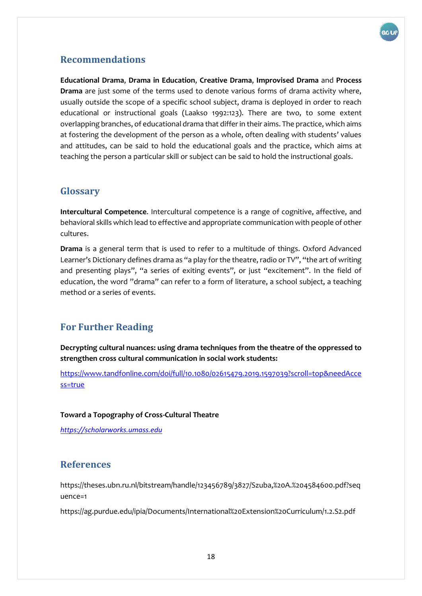

#### <span id="page-17-0"></span>**Recommendations**

**Educational Drama**, **Drama in Education**, **Creative Drama**, **Improvised Drama** and **Process Drama** are just some of the terms used to denote various forms of drama activity where, usually outside the scope of a specific school subject, drama is deployed in order to reach educational or instructional goals (Laakso 1992:123). There are two, to some extent overlapping branches, of educational drama that differ in their aims. The practice, which aims at fostering the development of the person as a whole, often dealing with students' values and attitudes, can be said to hold the educational goals and the practice, which aims at teaching the person a particular skill or subject can be said to hold the instructional goals.

#### <span id="page-17-1"></span>**Glossary**

**Intercultural Competence**. Intercultural competence is a range of cognitive, affective, and behavioral skills which lead to effective and appropriate communication with people of other cultures.

**Drama** is a general term that is used to refer to a multitude of things. Oxford Advanced Learner's Dictionary defines drama as "a play for the theatre, radio or TV", "the art of writing and presenting plays", "a series of exiting events", or just "excitement". In the field of education, the word "drama" can refer to a form of literature, a school subject, a teaching method or a series of events.

### <span id="page-17-2"></span>**For Further Reading**

**Decrypting cultural nuances: using drama techniques from the theatre of the oppressed to strengthen cross cultural communication in social work students:**

[https://www.tandfonline.com/doi/full/10.1080/02615479.2019.1597039?scroll=top&needAcce](https://www.tandfonline.com/doi/full/10.1080/02615479.2019.1597039?scroll=top&needAccess=true) [ss=true](https://www.tandfonline.com/doi/full/10.1080/02615479.2019.1597039?scroll=top&needAccess=true)

#### **Toward a Topography of Cross-Cultural Theatre**

*[https://scholarworks.umass.edu](https://www.google.com/url?sa=t&rct=j&q=&esrc=s&source=web&cd=6&ved=2ahUKEwi1h9XRlYnlAhVC_qQKHXYrBIIQFjAFegQIBRAC&url=https%3A%2F%2Fscholarworks.umass.edu%2Fcgi%2Fviewcontent.cgi%3Farticle%3D1010%26context%3Dcie_capstones&usg=AOvVaw2tpQY64So5ltM87FIXEpft)*

#### <span id="page-17-3"></span>**References**

[https://theses.ubn.ru.nl/bitstream/handle/123456789/3827/Szuba,%20A.%204584600.pdf?seq](https://theses.ubn.ru.nl/bitstream/handle/123456789/3827/Szuba,%20A.%204584600.pdf?sequence=1) [uence=1](https://theses.ubn.ru.nl/bitstream/handle/123456789/3827/Szuba,%20A.%204584600.pdf?sequence=1)

<https://ag.purdue.edu/ipia/Documents/International%20Extension%20Curriculum/1.2.S2.pdf>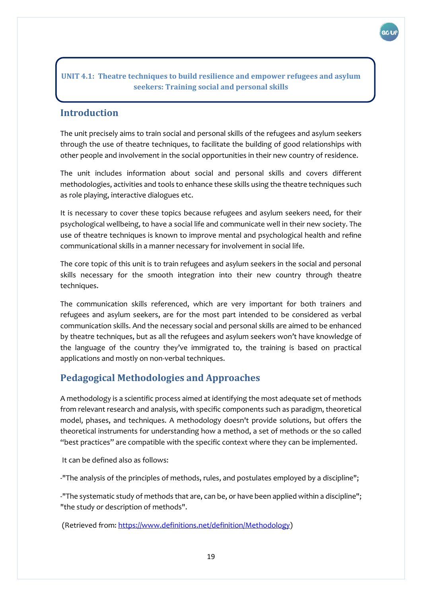#### <span id="page-18-0"></span>**UNIT 4.1: Theatre techniques to build resilience and empower refugees and asylum seekers: Training social and personal skills**

### <span id="page-18-1"></span>**Introduction**

The unit precisely aims to train social and personal skills of the refugees and asylum seekers through the use of theatre techniques, to facilitate the building of good relationships with other people and involvement in the social opportunities in their new country of residence.

The unit includes information about social and personal skills and covers different methodologies, activities and tools to enhance these skills using the theatre techniques such as role playing, interactive dialogues etc.

It is necessary to cover these topics because refugees and asylum seekers need, for their psychological wellbeing, to have a social life and communicate well in their new society. The use of theatre techniques is known to improve mental and psychological health and refine communicational skills in a manner necessary for involvement in social life.

The core topic of this unit is to train refugees and asylum seekers in the social and personal skills necessary for the smooth integration into their new country through theatre techniques.

The communication skills referenced, which are very important for both trainers and refugees and asylum seekers, are for the most part intended to be considered as verbal communication skills. And the necessary social and personal skills are aimed to be enhanced by theatre techniques, but as all the refugees and asylum seekers won't have knowledge of the language of the country they've immigrated to, the training is based on practical applications and mostly on non-verbal techniques.

### <span id="page-18-2"></span>**Pedagogical Methodologies and Approaches**

A methodology is a scientific process aimed at identifying the most adequate set of methods from relevant research and analysis, with specific components such as paradigm, theoretical model, phases, and techniques. A methodology doesn't provide solutions, but offers the theoretical instruments for understanding how a method, a set of methods or the so called "best practices" are compatible with the specific context where they can be implemented.

It can be defined also as follows:

-"The analysis of the principles of methods, rules, and postulates employed by a discipline";

-"The systematic study of methods that are, can be, or have been applied within a discipline"; "the study or description of methods".

(Retrieved from: [https://www.definitions.net/definition/Methodology\)](https://www.definitions.net/definition/Methodology)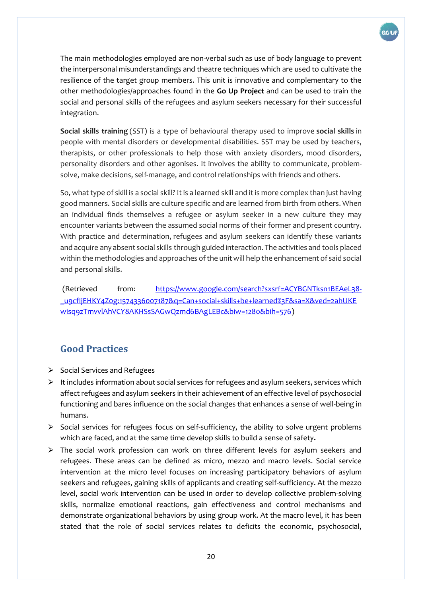

The main methodologies employed are non-verbal such as use of body language to prevent the interpersonal misunderstandings and theatre techniques which are used to cultivate the resilience of the target group members. This unit is innovative and complementary to the other methodologies/approaches found in the **Go Up Project** and can be used to train the social and personal skills of the refugees and asylum seekers necessary for their successful integration.

**Social skills training** (SST) is a type of behavioural therapy used to improve **social skills** in people with mental disorders or developmental disabilities. SST may be used by teachers, therapists, or other professionals to help those with anxiety disorders, mood disorders, personality disorders and other agonises. It involves the ability to communicate, problemsolve, make decisions, self-manage, and control relationships with friends and others.

So, what type of skill is a social skill? It is a learned skill and it is more complex than just having good manners. Social skills are culture specific and are learned from birth from others. When an individual finds themselves a refugee or asylum seeker in a new culture they may encounter variants between the assumed social norms of their former and present country. With practice and determination, refugees and asylum seekers can identify these variants and acquire any absent social skills through guided interaction. The activities and tools placed within the methodologies and approaches of the unit will help the enhancement of said social and personal skills.

(Retrieved from: [https://www.google.com/search?sxsrf=ACYBGNTksn1BEAeL38-](https://www.google.com/search?sxsrf=ACYBGNTksn1BEAeL38-_u9cfIjEHKY4Z0g:1574336007187&q=Can+social+skills+be+learned%3F&sa=X&ved=2ahUKEwisq9zTmvvlAhVCY8AKHSsSAGwQzmd6BAgLEBc&biw=1280&bih=576) [\\_u9cfIjEHKY4Z0g:1574336007187&q=Can+social+skills+be+learned%3F&sa=X&ved=2ahUKE](https://www.google.com/search?sxsrf=ACYBGNTksn1BEAeL38-_u9cfIjEHKY4Z0g:1574336007187&q=Can+social+skills+be+learned%3F&sa=X&ved=2ahUKEwisq9zTmvvlAhVCY8AKHSsSAGwQzmd6BAgLEBc&biw=1280&bih=576) [wisq9zTmvvlAhVCY8AKHSsSAGwQzmd6BAgLEBc&biw=1280&bih=576\)](https://www.google.com/search?sxsrf=ACYBGNTksn1BEAeL38-_u9cfIjEHKY4Z0g:1574336007187&q=Can+social+skills+be+learned%3F&sa=X&ved=2ahUKEwisq9zTmvvlAhVCY8AKHSsSAGwQzmd6BAgLEBc&biw=1280&bih=576)

# <span id="page-19-0"></span>**Good Practices**

- ⮚ Social Services and Refugees
- $\triangleright$  It includes information about social services for refugees and asylum seekers, services which affect refugees and asylum seekers in their achievement of an effective level of psychosocial functioning and bares influence on the social changes that enhances a sense of well-being in humans.
- $\triangleright$  Social services for refugees focus on self-sufficiency, the ability to solve urgent problems which are faced, and at the same time develop skills to build a sense of safety**.**
- $\triangleright$  The social work profession can work on three different levels for asylum seekers and refugees. These areas can be defined as micro, mezzo and macro levels. Social service intervention at the micro level focuses on increasing participatory behaviors of asylum seekers and refugees, gaining skills of applicants and creating self-sufficiency. At the mezzo level, social work intervention can be used in order to develop collective problem-solving skills, normalize emotional reactions, gain effectiveness and control mechanisms and demonstrate organizational behaviors by using group work. At the macro level, it has been stated that the role of social services relates to deficits the economic, psychosocial,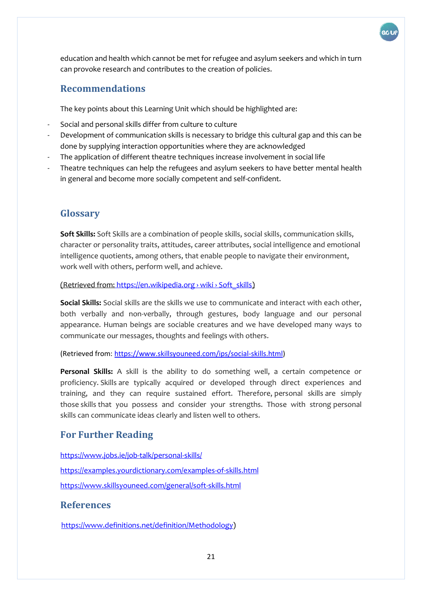

education and health which cannot be met for refugee and asylum seekers and which in turn can provoke research and contributes to the creation of policies.

#### <span id="page-20-0"></span>**Recommendations**

The key points about this Learning Unit which should be highlighted are:

- Social and personal skills differ from culture to culture
- Development of communication skills is necessary to bridge this cultural gap and this can be done by supplying interaction opportunities where they are acknowledged
- The application of different theatre techniques increase involvement in social life
- Theatre techniques can help the refugees and asylum seekers to have better mental health in general and become more socially competent and self-confident.

#### <span id="page-20-1"></span>**Glossary**

**Soft Skills:** Soft Skills are a combination of people skills, social skills, communication skills, character or personality traits, attitudes, career attributes, social intelligence and emotional intelligence quotients, among others, that enable people to navigate their environment, work well with others, perform well, and achieve[.](about:blank) 

[\(Retrieved from:](about:blank) [https://en.wikipedia.org › wiki › Soft\\_skills](about:blank)[\)](about:blank) 

**Social Skills:** Social skills are the skills we use to communicate and interact with each other, both verbally and non-verbally, through gestures, body language and our personal appearance. Human beings are sociable creatures and we have developed many ways to communicate our messages, thoughts and feelings with others.

(Retrieved from: [https://www.skillsyouneed.com/ips/social-skills.html\)](https://www.skillsyouneed.com/ips/social-skills.html)

**Personal Skills:** A skill is the ability to do something well, a certain competence or proficiency. Skills are typically acquired or developed through direct experiences and training, and they can require sustained effort. Therefore, personal skills are simply those skills that you possess and consider your strengths. Those with strong personal skills can communicate ideas clearly and listen well to others.

### <span id="page-20-2"></span>**For Further Reading**

<https://www.jobs.ie/job-talk/personal-skills/> <https://examples.yourdictionary.com/examples-of-skills.html> <https://www.skillsyouneed.com/general/soft-skills.html>

#### <span id="page-20-3"></span>**References**

[https://www.definitions.net/definition/Methodology\)](https://www.definitions.net/definition/Methodology)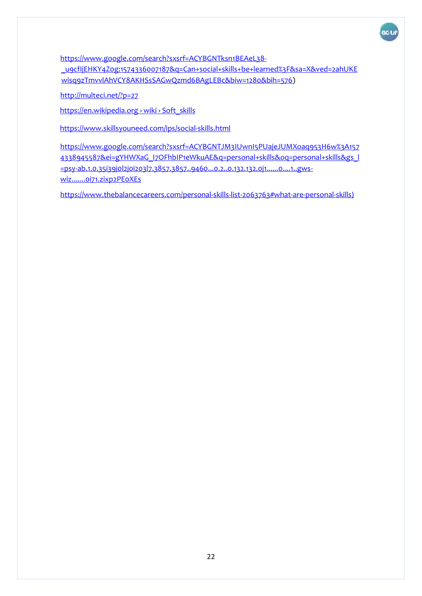

[https://www.google.com/search?sxsrf=ACYBGNTksn1BEAeL38-](https://www.google.com/search?sxsrf=ACYBGNTksn1BEAeL38-_u9cfIjEHKY4Z0g:1574336007187&q=Can+social+skills+be+learned%3F&sa=X&ved=2ahUKEwisq9zTmvvlAhVCY8AKHSsSAGwQzmd6BAgLEBc&biw=1280&bih=576) [\\_u9cfIjEHKY4Z0g:1574336007187&q=Can+social+skills+be+learned%3F&sa=X&ved=2ahUKE](https://www.google.com/search?sxsrf=ACYBGNTksn1BEAeL38-_u9cfIjEHKY4Z0g:1574336007187&q=Can+social+skills+be+learned%3F&sa=X&ved=2ahUKEwisq9zTmvvlAhVCY8AKHSsSAGwQzmd6BAgLEBc&biw=1280&bih=576) [wisq9zTmvvlAhVCY8AKHSsSAGwQzmd6BAgLEBc&biw=1280&bih=576\)](https://www.google.com/search?sxsrf=ACYBGNTksn1BEAeL38-_u9cfIjEHKY4Z0g:1574336007187&q=Can+social+skills+be+learned%3F&sa=X&ved=2ahUKEwisq9zTmvvlAhVCY8AKHSsSAGwQzmd6BAgLEBc&biw=1280&bih=576)

<http://multeci.net/?p=27>

https://en.wikipedia.org › wiki › Soft\_skills

<https://www.skillsyouneed.com/ips/social-skills.html>

[https://www.google.com/search?sxsrf=ACYBGNTJM3IUwnI5PUajeJUMXoaq953H6w%3A157](https://www.google.com/search?sxsrf=ACYBGNTJM3IUwnI5PUajeJUMXoaq953H6w%3A1574338945587&ei=gYHWXaG_I7OFhbIP1eWkuAE&q=personal+skills&oq=personal+skills&gs_l=psy-ab.1.0.35i39j0l2j0i203l7.3857.3857..9460...0.2..0.132.132.0j1......0....1..gws-wiz.......0i71.zixp2PE0XEs) [4338945587&ei=gYHWXaG\\_I7OFhbIP1eWkuAE&q=personal+skills&oq=personal+skills&gs\\_l](https://www.google.com/search?sxsrf=ACYBGNTJM3IUwnI5PUajeJUMXoaq953H6w%3A1574338945587&ei=gYHWXaG_I7OFhbIP1eWkuAE&q=personal+skills&oq=personal+skills&gs_l=psy-ab.1.0.35i39j0l2j0i203l7.3857.3857..9460...0.2..0.132.132.0j1......0....1..gws-wiz.......0i71.zixp2PE0XEs) [=psy-ab.1.0.35i39j0l2j0i203l7.3857.3857..9460...0.2..0.132.132.0j1......0....1..gws](https://www.google.com/search?sxsrf=ACYBGNTJM3IUwnI5PUajeJUMXoaq953H6w%3A1574338945587&ei=gYHWXaG_I7OFhbIP1eWkuAE&q=personal+skills&oq=personal+skills&gs_l=psy-ab.1.0.35i39j0l2j0i203l7.3857.3857..9460...0.2..0.132.132.0j1......0....1..gws-wiz.......0i71.zixp2PE0XEs)[wiz.......0i71.zixp2PE0XEs](https://www.google.com/search?sxsrf=ACYBGNTJM3IUwnI5PUajeJUMXoaq953H6w%3A1574338945587&ei=gYHWXaG_I7OFhbIP1eWkuAE&q=personal+skills&oq=personal+skills&gs_l=psy-ab.1.0.35i39j0l2j0i203l7.3857.3857..9460...0.2..0.132.132.0j1......0....1..gws-wiz.......0i71.zixp2PE0XEs)

<https://www.thebalancecareers.com/personal-skills-list-2063763#what-are-personal-skills>)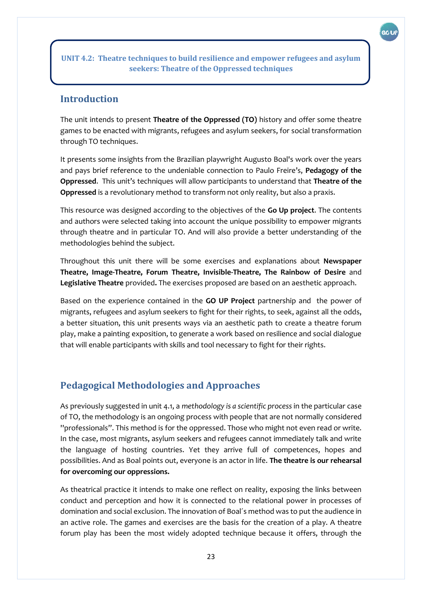GC U

#### <span id="page-22-1"></span><span id="page-22-0"></span>**Introduction**

The unit intends to present **Theatre of the Oppressed (TO)** history and offer some theatre games to be enacted with migrants, refugees and asylum seekers, for social transformation through TO techniques.

**seekers: Theatre of the Oppressed techniques**

It presents some insights from the Brazilian playwright Augusto Boal's work over the years and pays brief reference to the undeniable connection to Paulo Freire's, **Pedagogy of the Oppressed**. This unit's techniques will allow participants to understand that **Theatre of the Oppressed** is a revolutionary method to transform not only reality, but also a praxis.

This resource was designed according to the objectives of the **Go Up project**. The contents and authors were selected taking into account the unique possibility to empower migrants through theatre and in particular TO. And will also provide a better understanding of the methodologies behind the subject.

Throughout this unit there will be some exercises and explanations about **Newspaper Theatre, Image-Theatre, Forum Theatre, Invisible-Theatre, The Rainbow of Desire** and **Legislative Theatre** provided**.** The exercises proposed are based on an aesthetic approach.

Based on the experience contained in the **GO UP Project** partnership and the power of migrants, refugees and asylum seekers to fight for their rights, to seek, against all the odds, a better situation, this unit presents ways via an aesthetic path to create a theatre forum play, make a painting exposition, to generate a work based on resilience and social dialogue that will enable participants with skills and tool necessary to fight for their rights.

#### <span id="page-22-2"></span>**Pedagogical Methodologies and Approaches**

As previously suggested in unit 4.1, a *methodology is a scientific process* in the particular case of TO, the methodology is an ongoing process with people that are not normally considered ''professionals". This method is for the oppressed. Those who might not even read or write. In the case, most migrants, asylum seekers and refugees cannot immediately talk and write the language of hosting countries. Yet they arrive full of competences, hopes and possibilities. And as Boal points out, everyone is an actor in life. **The theatre is our rehearsal for overcoming our oppressions.** 

As theatrical practice it intends to make one reflect on reality, exposing the links between conduct and perception and how it is connected to the relational power in processes of domination and social exclusion. The innovation of Boal´s method was to put the audience in an active role. The games and exercises are the basis for the creation of a play. A theatre forum play has been the most widely adopted technique because it offers, through the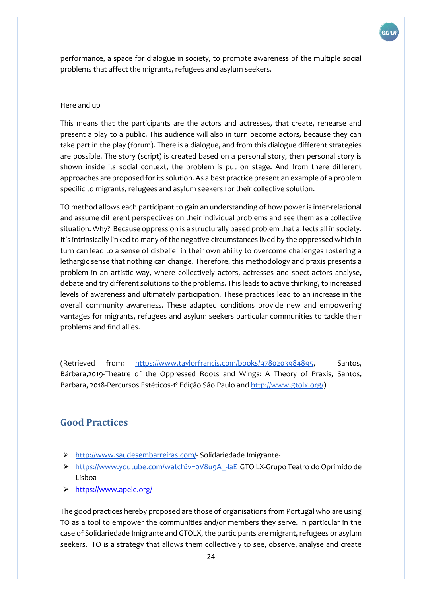

performance, a space for dialogue in society, to promote awareness of the multiple social problems that affect the migrants, refugees and asylum seekers.

#### Here and up

This means that the participants are the actors and actresses, that create, rehearse and present a play to a public. This audience will also in turn become actors, because they can take part in the play (forum). There is a dialogue, and from this dialogue different strategies are possible. The story (script) is created based on a personal story, then personal story is shown inside its social context, the problem is put on stage. And from there different approaches are proposed for its solution. As a best practice present an example of a problem specific to migrants, refugees and asylum seekers for their collective solution.

TO method allows each participant to gain an understanding of how power is inter-relational and assume different perspectives on their individual problems and see them as a collective situation. Why? Because oppression is a structurally based problem that affects all in society. It's intrinsically linked to many of the negative circumstances lived by the oppressed which in turn can lead to a sense of disbelief in their own ability to overcome challenges fostering a lethargic sense that nothing can change. Therefore, this methodology and praxis presents a problem in an artistic way, where collectively actors, actresses and spect-actors analyse, debate and try different solutions to the problems. This leads to active thinking, to increased levels of awareness and ultimately participation. These practices lead to an increase in the overall community awareness. These adapted conditions provide new and empowering vantages for migrants, refugees and asylum seekers particular communities to tackle their problems and find allies.

(Retrieved from: [https://www.taylorfrancis.com/books/9780203984895,](https://www.taylorfrancis.com/books/9780203984895) Santos, Bárbara,2019-Theatre of the Oppressed Roots and Wings: A Theory of Praxis, Santos, Barbara, 2018-Percursos Estéticos-1º Edição São Paulo and [http://www.gtolx.org/\)](http://www.gtolx.org/)

#### <span id="page-23-0"></span>**Good Practices**

- > [http://www.saudesembarreiras.com/-](http://www.saudesembarreiras.com/) Solidariedade Imigrante-
- ⮚ [https://www.youtube.com/watch?v=0V8u9A\\_-laE](https://www.youtube.com/watch?v=0V8u9A_-laE) GTO LX-Grupo Teatro do Oprimido de Lisboa
- ⮚ <https://www.apele.org/->

The good practices hereby proposed are those of organisations from Portugal who are using TO as a tool to empower the communities and/or members they serve. In particular in the case of Solidariedade Imigrante and GTOLX, the participants are migrant, refugees or asylum seekers. TO is a strategy that allows them collectively to see, observe, analyse and create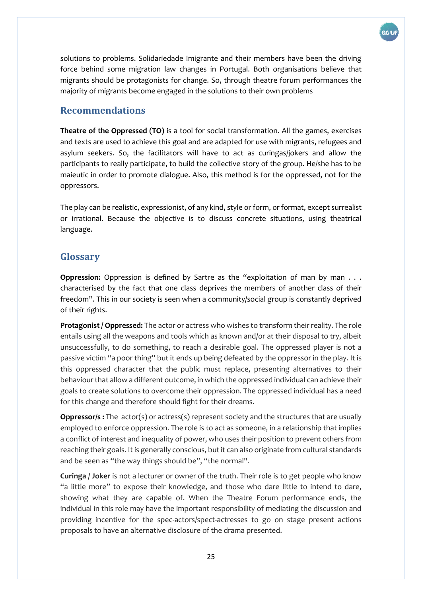

solutions to problems. Solidariedade Imigrante and their members have been the driving force behind some migration law changes in Portugal. Both organisations believe that migrants should be protagonists for change. So, through theatre forum performances the majority of migrants become engaged in the solutions to their own problems

#### <span id="page-24-0"></span>**Recommendations**

**Theatre of the Oppressed (TO)** is a tool for social transformation. All the games, exercises and texts are used to achieve this goal and are adapted for use with migrants, refugees and asylum seekers. So, the facilitators will have to act as curingas/jokers and allow the participants to really participate, to build the collective story of the group. He/she has to be maieutic in order to promote dialogue. Also, this method is for the oppressed, not for the oppressors.

The play can be realistic, expressionist, of any kind, style or form, or format, except surrealist or irrational. Because the objective is to discuss concrete situations, using theatrical language.

### <span id="page-24-1"></span>**Glossary**

**Oppression:** Oppression is defined by Sartre as the "exploitation of man by man . . . characterised by the fact that one class deprives the members of another class of their freedom". This in our society is seen when a community/social group is constantly deprived of their rights.

**Protagonist / Oppressed:** The actor or actress who wishes to transform their reality. The role entails using all the weapons and tools which as known and/or at their disposal to try, albeit unsuccessfully, to do something, to reach a desirable goal. The oppressed player is not a passive victim "a poor thing" but it ends up being defeated by the oppressor in the play. It is this oppressed character that the public must replace, presenting alternatives to their behaviour that allow a different outcome, in which the oppressed individual can achieve their goals to create solutions to overcome their oppression. The oppressed individual has a need for this change and therefore should fight for their dreams.

**Oppressor/s :** The actor(s) or actress(s) represent society and the structures that are usually employed to enforce oppression. The role is to act as someone, in a relationship that implies a conflict of interest and inequality of power, who uses their position to prevent others from reaching their goals. It is generally conscious, but it can also originate from cultural standards and be seen as "the way things should be", "the normal".

**Curinga / Joker** is not a lecturer or owner of the truth. Their role is to get people who know "a little more" to expose their knowledge, and those who dare little to intend to dare, showing what they are capable of. When the Theatre Forum performance ends, the individual in this role may have the important responsibility of mediating the discussion and providing incentive for the spec-actors/spect-actresses to go on stage present actions proposals to have an alternative disclosure of the drama presented.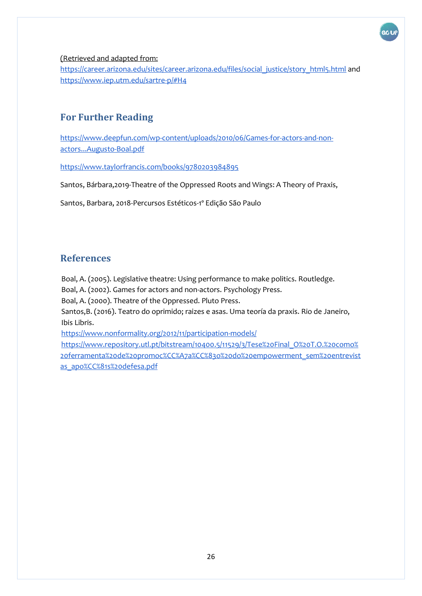

#### [\(Retrieved and adapted from:](about:blank)

[https://career.arizona.edu/sites/career.arizona.edu/files/social\\_justice/story\\_html5.html](https://career.arizona.edu/sites/career.arizona.edu/files/social_justice/story_html5.html) and <https://www.iep.utm.edu/sartre-p/#H4>

#### <span id="page-25-0"></span>**For Further Reading**

[https://www.deepfun.com/wp-content/uploads/2010/06/Games-for-actors-and-non](https://www.deepfun.com/wp-content/uploads/2010/06/Games-for-actors-and-non-actors...Augusto-Boal.pdf)[actors...Augusto-Boal.pdf](https://www.deepfun.com/wp-content/uploads/2010/06/Games-for-actors-and-non-actors...Augusto-Boal.pdf)

<https://www.taylorfrancis.com/books/9780203984895>

Santos, Bárbara,2019-Theatre of the Oppressed Roots and Wings: A Theory of Praxis,

Santos, Barbara, 2018-Percursos Estéticos-1º Edição São Paulo

#### <span id="page-25-1"></span>**References**

Boal, A. (2005). Legislative theatre: Using performance to make politics. Routledge.

Boal, A. (2002). Games for actors and non-actors. Psychology Press.

Boal, A. (2000). Theatre of the Oppressed. Pluto Press.

Santos,B. (2016). Teatro do oprimido; raizes e asas. Uma teoría da praxis. Rio de Janeiro, Ibis Libris.

<https://www.nonformality.org/2012/11/participation-models/>

[https://www.repository.utl.pt/bitstream/10400.5/11529/3/Tese%20Final\\_O%20T.O.%20como%](https://www.repository.utl.pt/bitstream/10400.5/11529/3/Tese%20Final_O%20T.O.%20como%20ferramenta%20de%20promoc%CC%A7a%CC%83o%20do%20empowerment_sem%20entrevistas_apo%CC%81s%20defesa.pdf) [20ferramenta%20de%20promoc%CC%A7a%CC%83o%20do%20empowerment\\_sem%20entrevist](https://www.repository.utl.pt/bitstream/10400.5/11529/3/Tese%20Final_O%20T.O.%20como%20ferramenta%20de%20promoc%CC%A7a%CC%83o%20do%20empowerment_sem%20entrevistas_apo%CC%81s%20defesa.pdf) [as\\_apo%CC%81s%20defesa.pdf](https://www.repository.utl.pt/bitstream/10400.5/11529/3/Tese%20Final_O%20T.O.%20como%20ferramenta%20de%20promoc%CC%A7a%CC%83o%20do%20empowerment_sem%20entrevistas_apo%CC%81s%20defesa.pdf)